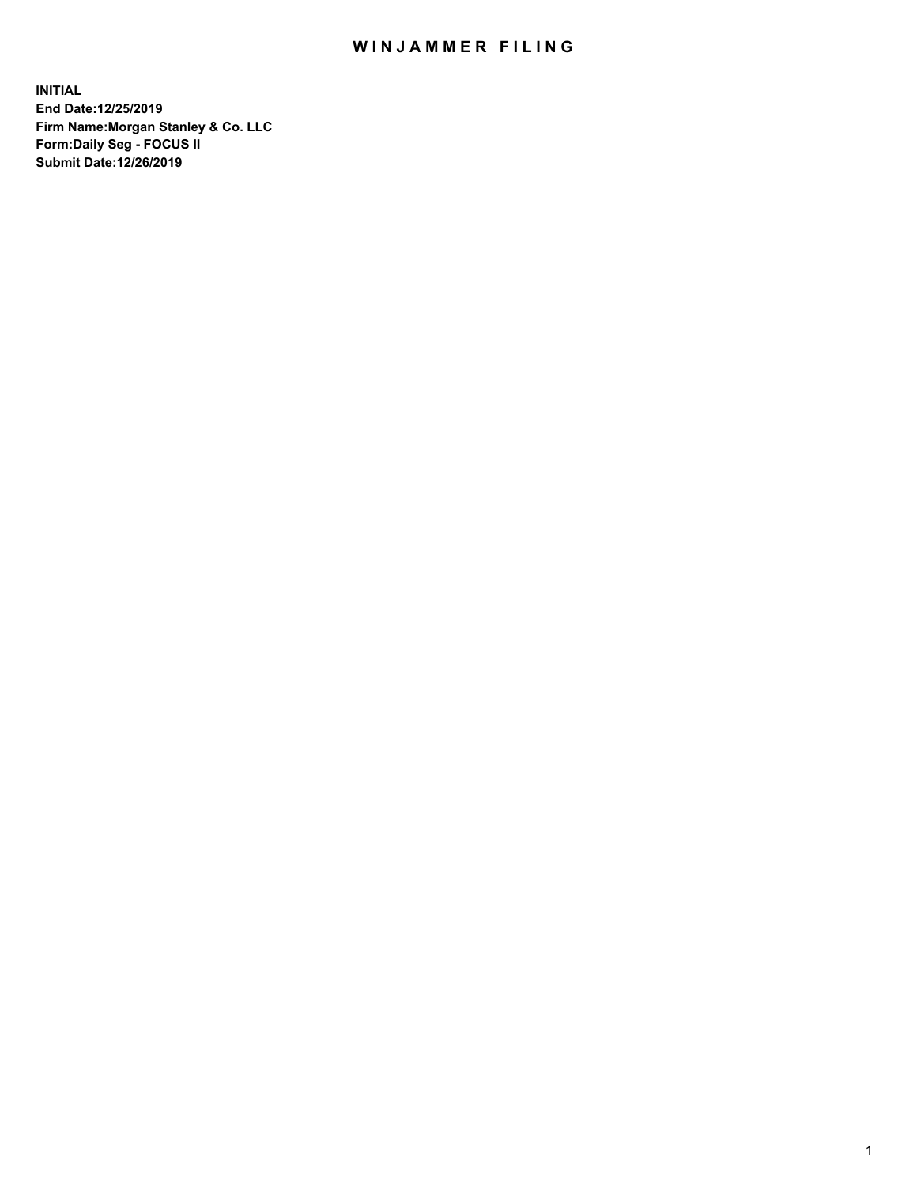## WIN JAMMER FILING

**INITIAL End Date:12/25/2019 Firm Name:Morgan Stanley & Co. LLC Form:Daily Seg - FOCUS II Submit Date:12/26/2019**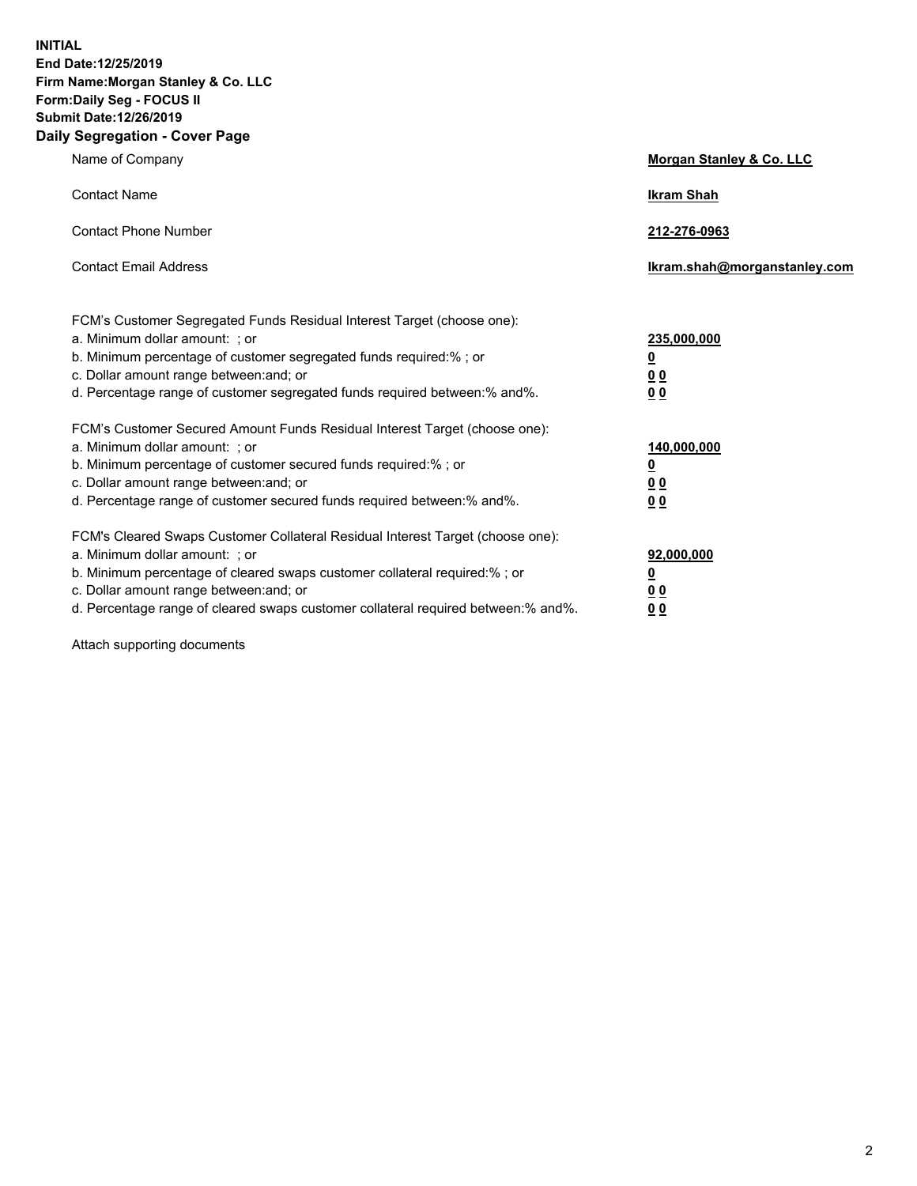**INITIAL End Date:12/25/2019 Firm Name:Morgan Stanley & Co. LLC Form:Daily Seg - FOCUS II Submit Date:12/26/2019 Daily Segregation - Cover Page**

| Name of Company                                                                                                                                                                                                                                                                                                                | Morgan Stanley & Co. LLC                                    |
|--------------------------------------------------------------------------------------------------------------------------------------------------------------------------------------------------------------------------------------------------------------------------------------------------------------------------------|-------------------------------------------------------------|
| <b>Contact Name</b>                                                                                                                                                                                                                                                                                                            | <b>Ikram Shah</b>                                           |
| <b>Contact Phone Number</b>                                                                                                                                                                                                                                                                                                    | 212-276-0963                                                |
| <b>Contact Email Address</b>                                                                                                                                                                                                                                                                                                   | Ikram.shah@morganstanley.com                                |
| FCM's Customer Segregated Funds Residual Interest Target (choose one):<br>a. Minimum dollar amount: ; or<br>b. Minimum percentage of customer segregated funds required:% ; or<br>c. Dollar amount range between: and; or<br>d. Percentage range of customer segregated funds required between:% and%.                         | 235,000,000<br><u>0</u><br>0 <sub>0</sub><br>0 <sub>0</sub> |
| FCM's Customer Secured Amount Funds Residual Interest Target (choose one):<br>a. Minimum dollar amount: ; or<br>b. Minimum percentage of customer secured funds required:%; or<br>c. Dollar amount range between: and; or<br>d. Percentage range of customer secured funds required between:% and%.                            | 140,000,000<br><u>0</u><br>0 <sub>0</sub><br>0 <sub>0</sub> |
| FCM's Cleared Swaps Customer Collateral Residual Interest Target (choose one):<br>a. Minimum dollar amount: ; or<br>b. Minimum percentage of cleared swaps customer collateral required:% ; or<br>c. Dollar amount range between: and; or<br>d. Percentage range of cleared swaps customer collateral required between:% and%. | 92,000,000<br><u>0</u><br><u>00</u><br>0 <sub>0</sub>       |

Attach supporting documents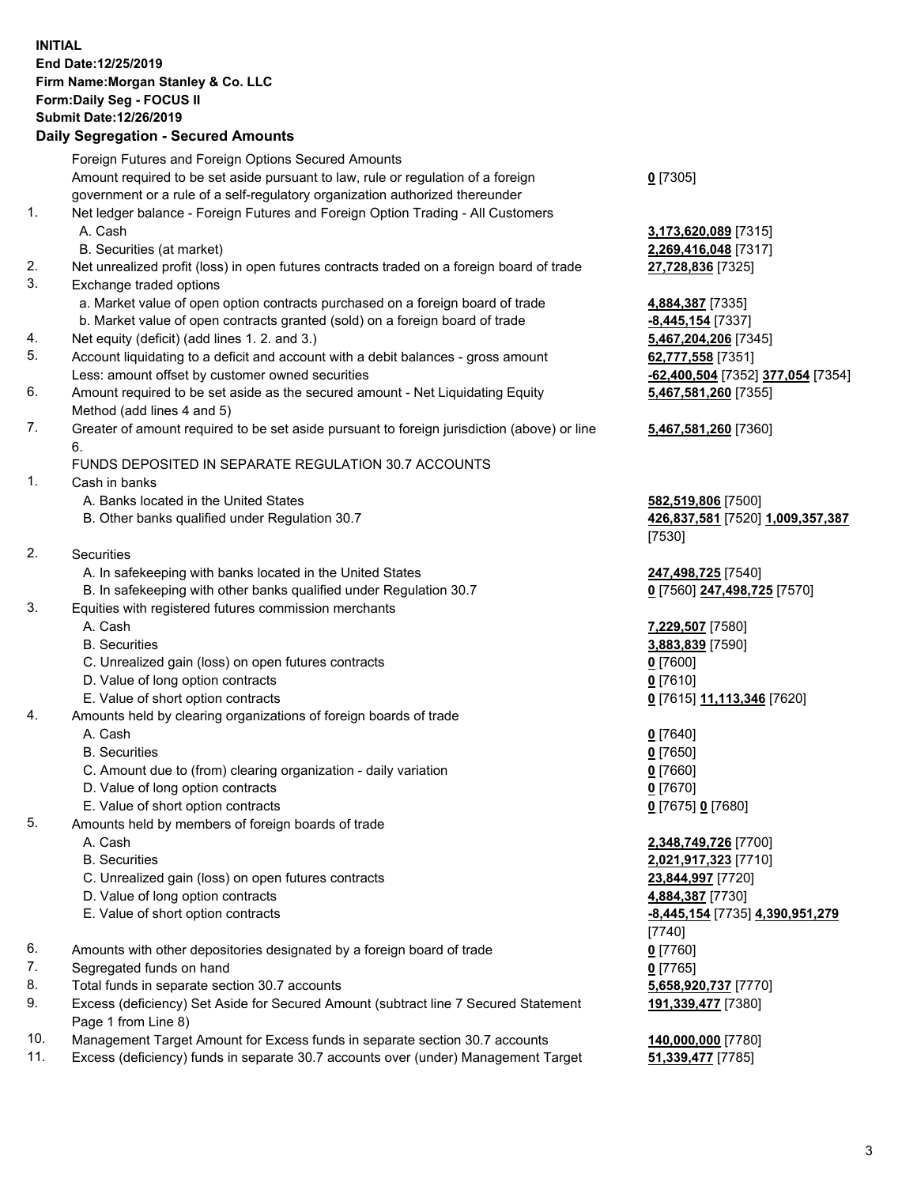## **INITIAL End Date:12/25/2019 Firm Name:Morgan Stanley & Co. LLC Form:Daily Seg - FOCUS II Submit Date:12/26/2019**

## **Daily Segregation - Secured Amounts**

|     | Foreign Futures and Foreign Options Secured Amounts                                                                  |                                   |
|-----|----------------------------------------------------------------------------------------------------------------------|-----------------------------------|
|     | Amount required to be set aside pursuant to law, rule or regulation of a foreign                                     | $0$ [7305]                        |
|     | government or a rule of a self-regulatory organization authorized thereunder                                         |                                   |
| 1.  | Net ledger balance - Foreign Futures and Foreign Option Trading - All Customers                                      |                                   |
|     | A. Cash                                                                                                              | 3,173,620,089 [7315]              |
| 2.  | B. Securities (at market)                                                                                            | 2,269,416,048 [7317]              |
| 3.  | Net unrealized profit (loss) in open futures contracts traded on a foreign board of trade<br>Exchange traded options | 27,728,836 [7325]                 |
|     | a. Market value of open option contracts purchased on a foreign board of trade                                       | 4,884,387 [7335]                  |
|     | b. Market value of open contracts granted (sold) on a foreign board of trade                                         | -8,445,154 [7337]                 |
| 4.  | Net equity (deficit) (add lines 1.2. and 3.)                                                                         | 5,467,204,206 [7345]              |
| 5.  | Account liquidating to a deficit and account with a debit balances - gross amount                                    | 62,777,558 [7351]                 |
|     | Less: amount offset by customer owned securities                                                                     | -62,400,504 [7352] 377,054 [7354] |
| 6.  | Amount required to be set aside as the secured amount - Net Liquidating Equity                                       | 5,467,581,260 [7355]              |
|     | Method (add lines 4 and 5)                                                                                           |                                   |
| 7.  | Greater of amount required to be set aside pursuant to foreign jurisdiction (above) or line                          | 5,467,581,260 [7360]              |
|     | 6.                                                                                                                   |                                   |
|     | FUNDS DEPOSITED IN SEPARATE REGULATION 30.7 ACCOUNTS                                                                 |                                   |
| 1.  | Cash in banks                                                                                                        |                                   |
|     | A. Banks located in the United States                                                                                | 582,519,806 [7500]                |
|     | B. Other banks qualified under Regulation 30.7                                                                       | 426,837,581 [7520] 1,009,357,387  |
|     |                                                                                                                      | [7530]                            |
| 2.  | Securities                                                                                                           |                                   |
|     | A. In safekeeping with banks located in the United States                                                            | 247,498,725 [7540]                |
|     | B. In safekeeping with other banks qualified under Regulation 30.7                                                   | 0 [7560] 247,498,725 [7570]       |
| 3.  | Equities with registered futures commission merchants                                                                |                                   |
|     | A. Cash                                                                                                              | 7,229,507 [7580]                  |
|     | <b>B.</b> Securities                                                                                                 | 3,883,839 [7590]                  |
|     | C. Unrealized gain (loss) on open futures contracts                                                                  | $0$ [7600]                        |
|     | D. Value of long option contracts                                                                                    | $0$ [7610]                        |
|     | E. Value of short option contracts                                                                                   | 0 [7615] 11,113,346 [7620]        |
| 4.  | Amounts held by clearing organizations of foreign boards of trade                                                    |                                   |
|     | A. Cash                                                                                                              | $0$ [7640]                        |
|     | <b>B.</b> Securities                                                                                                 | $0$ [7650]                        |
|     | C. Amount due to (from) clearing organization - daily variation                                                      | $0$ [7660]                        |
|     | D. Value of long option contracts                                                                                    | $0$ [7670]                        |
| 5.  | E. Value of short option contracts                                                                                   | 0 [7675] 0 [7680]                 |
|     | Amounts held by members of foreign boards of trade<br>A. Cash                                                        | 2,348,749,726 [7700]              |
|     | <b>B.</b> Securities                                                                                                 | 2,021,917,323 [7710]              |
|     | C. Unrealized gain (loss) on open futures contracts                                                                  | 23,844,997 [7720]                 |
|     | D. Value of long option contracts                                                                                    | 4,884,387 [7730]                  |
|     | E. Value of short option contracts                                                                                   | -8,445,154 [7735] 4,390,951,279   |
|     |                                                                                                                      | [7740]                            |
| 6.  | Amounts with other depositories designated by a foreign board of trade                                               | $0$ [7760]                        |
| 7.  | Segregated funds on hand                                                                                             | $0$ [7765]                        |
| 8.  | Total funds in separate section 30.7 accounts                                                                        | 5,658,920,737 [7770]              |
| 9.  | Excess (deficiency) Set Aside for Secured Amount (subtract line 7 Secured Statement                                  | 191,339,477 [7380]                |
|     | Page 1 from Line 8)                                                                                                  |                                   |
| 10. | Management Target Amount for Excess funds in separate section 30.7 accounts                                          | 140,000,000 [7780]                |

11. Excess (deficiency) funds in separate 30.7 accounts over (under) Management Target **51,339,477** [7785]

3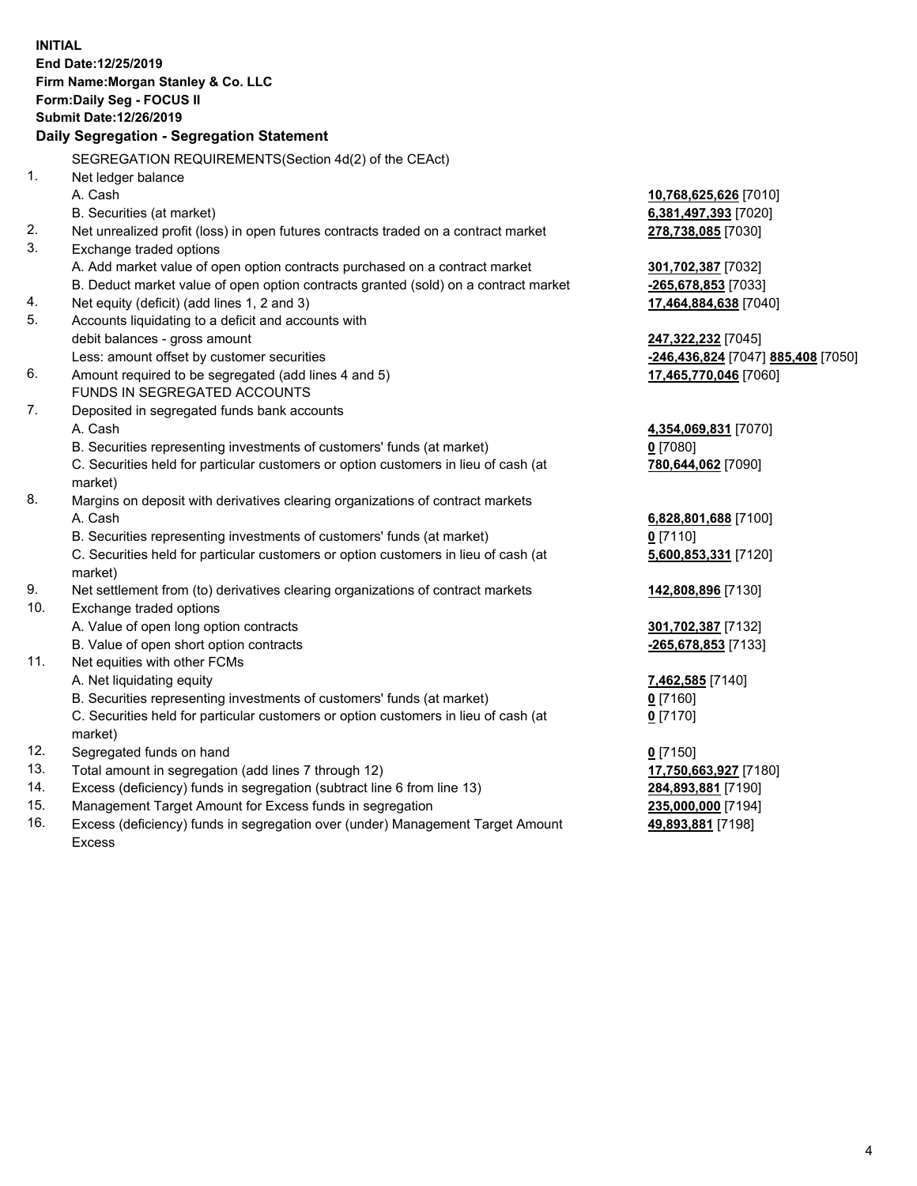|     | <b>INITIAL</b><br>End Date:12/25/2019<br>Firm Name: Morgan Stanley & Co. LLC<br>Form: Daily Seg - FOCUS II<br>Submit Date: 12/26/2019<br>Daily Segregation - Segregation Statement |                                    |
|-----|------------------------------------------------------------------------------------------------------------------------------------------------------------------------------------|------------------------------------|
|     | SEGREGATION REQUIREMENTS(Section 4d(2) of the CEAct)                                                                                                                               |                                    |
| 1.  | Net ledger balance                                                                                                                                                                 |                                    |
|     | A. Cash                                                                                                                                                                            | 10,768,625,626 [7010]              |
|     | B. Securities (at market)                                                                                                                                                          | 6,381,497,393 [7020]               |
| 2.  | Net unrealized profit (loss) in open futures contracts traded on a contract market                                                                                                 | 278,738,085 [7030]                 |
| 3.  | Exchange traded options                                                                                                                                                            |                                    |
|     | A. Add market value of open option contracts purchased on a contract market                                                                                                        | 301,702,387 [7032]                 |
|     | B. Deduct market value of open option contracts granted (sold) on a contract market                                                                                                | -265,678,853 [7033]                |
| 4.  | Net equity (deficit) (add lines 1, 2 and 3)                                                                                                                                        | 17,464,884,638 [7040]              |
| 5.  | Accounts liquidating to a deficit and accounts with                                                                                                                                |                                    |
|     | debit balances - gross amount                                                                                                                                                      | 247,322,232 [7045]                 |
|     | Less: amount offset by customer securities                                                                                                                                         | -246,436,824 [7047] 885,408 [7050] |
| 6.  | Amount required to be segregated (add lines 4 and 5)                                                                                                                               | 17,465,770,046 [7060]              |
|     | FUNDS IN SEGREGATED ACCOUNTS                                                                                                                                                       |                                    |
| 7.  | Deposited in segregated funds bank accounts                                                                                                                                        |                                    |
|     | A. Cash                                                                                                                                                                            | 4,354,069,831 [7070]               |
|     | B. Securities representing investments of customers' funds (at market)                                                                                                             | $0$ [7080]                         |
|     | C. Securities held for particular customers or option customers in lieu of cash (at                                                                                                | 780,644,062 [7090]                 |
|     | market)                                                                                                                                                                            |                                    |
| 8.  | Margins on deposit with derivatives clearing organizations of contract markets                                                                                                     |                                    |
|     | A. Cash                                                                                                                                                                            | 6,828,801,688 [7100]               |
|     | B. Securities representing investments of customers' funds (at market)                                                                                                             | $0$ [7110]                         |
|     | C. Securities held for particular customers or option customers in lieu of cash (at<br>market)                                                                                     | 5,600,853,331 [7120]               |
| 9.  | Net settlement from (to) derivatives clearing organizations of contract markets                                                                                                    | 142,808,896 [7130]                 |
| 10. | Exchange traded options                                                                                                                                                            |                                    |
|     | A. Value of open long option contracts                                                                                                                                             | 301,702,387 [7132]                 |
|     | B. Value of open short option contracts                                                                                                                                            | -265,678,853 [7133]                |
| 11. | Net equities with other FCMs                                                                                                                                                       |                                    |
|     | A. Net liquidating equity                                                                                                                                                          | 7,462,585 [7140]                   |
|     | B. Securities representing investments of customers' funds (at market)                                                                                                             | 0 [7160]                           |
|     | C. Securities held for particular customers or option customers in lieu of cash (at<br>market)                                                                                     | $0$ [7170]                         |
| 12. | Segregated funds on hand                                                                                                                                                           | $0$ [7150]                         |
| 13. | Total amount in segregation (add lines 7 through 12)                                                                                                                               | 17,750,663,927 [7180]              |
| 14. | Excess (deficiency) funds in segregation (subtract line 6 from line 13)                                                                                                            | 284,893,881 [7190]                 |
| 15. | Management Target Amount for Excess funds in segregation                                                                                                                           | 235,000,000 [7194]                 |
| 16. | Excess (deficiency) funds in segregation over (under) Management Target Amount                                                                                                     | 49,893,881 [7198]                  |

Excess